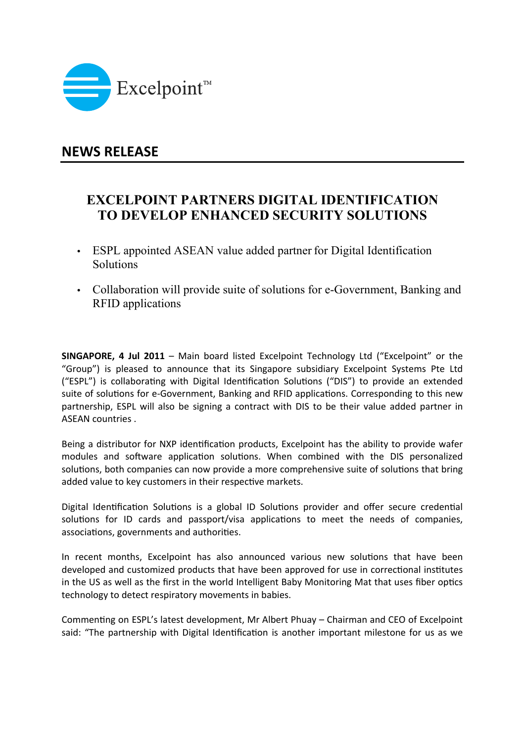

## **NEWS RELEASE**

## **EXCELPOINT PARTNERS DIGITAL IDENTIFICATION TO DEVELOP ENHANCED SECURITY SOLUTIONS**

- ESPL appointed ASEAN value added partner for Digital Identification **Solutions**
- Collaboration will provide suite of solutions for e-Government, Banking and RFID applications

**SINGAPORE, 4 Jul 2011** – Main board listed Excelpoint Technology Ltd ("Excelpoint" or the "Group") is pleased to announce that its Singapore subsidiary Excelpoint Systems Pte Ltd ("ESPL") is collaborating with Digital Identification Solutions ("DIS") to provide an extended suite of solutions for e-Government, Banking and RFID applications. Corresponding to this new partnership, ESPL will also be signing a contract with DIS to be their value added partner in ASEAN countries .

Being a distributor for NXP identification products, Excelpoint has the ability to provide wafer modules and software application solutions. When combined with the DIS personalized solutions, both companies can now provide a more comprehensive suite of solutions that bring added value to key customers in their respective markets.

Digital Identification Solutions is a global ID Solutions provider and offer secure credential solutions for ID cards and passport/visa applications to meet the needs of companies, associations, governments and authorities.

In recent months, Excelpoint has also announced various new solutions that have been developed and customized products that have been approved for use in correctional institutes in the US as well as the first in the world Intelligent Baby Monitoring Mat that uses fiber optics technology to detect respiratory movements in babies.

Commenting on ESPL's latest development, Mr Albert Phuay – Chairman and CEO of Excelpoint said: "The partnership with Digital Identification is another important milestone for us as we